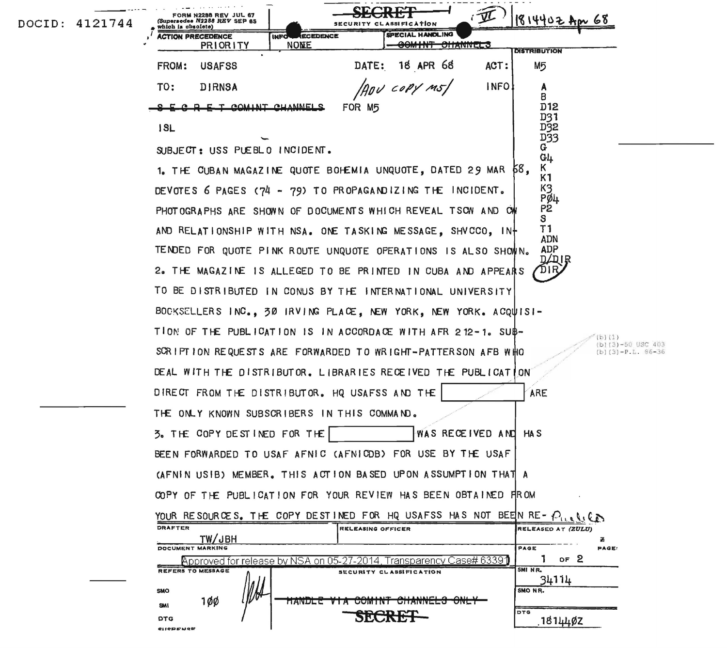| DOCID: 4121744 | 2288 REV JUL 67<br>1814402 Apr 68<br>(Supersedee N2288 REV SEP 65<br>SECURITY CLASSIFICATION<br>which is obsolete)                      |
|----------------|-----------------------------------------------------------------------------------------------------------------------------------------|
|                | SPECIAL HANDLING<br><b>ECEDENCE</b><br><b>LCTION PRECEDENCE</b><br><b>INFO</b><br><b>NONE</b><br><del>oomint channels</del><br>PRIORITY |
|                | <b>DISTRIBUTION</b><br>18 APR 68<br>DATE:<br><b>FROM:</b><br>ACT:<br>М5<br><b>USAFSS</b>                                                |
|                | ADU COPY M51<br>INFO!<br>TO:<br><b>DIRNSA</b><br>A                                                                                      |
|                | В<br>O E T AOMINT AUMNELS<br>D12<br>FOR M5                                                                                              |
|                | D31                                                                                                                                     |
|                | D32<br>ISL<br>D33                                                                                                                       |
|                | G.<br>SUBJECT: USS PUEBLO INCIDENT.<br>G <sub>4</sub>                                                                                   |
|                | Κ<br>1. THE CUBAN MAGAZINE QUOTE BOHEMIA UNQUOTE, DATED 29 MAR 68,<br>K1                                                                |
|                | K3<br>DEVOTES 6 PAGES (74 - 79) TO PROPAGANDIZING THE INCIDENT.<br>Pø4                                                                  |
|                | P <sub>2</sub><br>PHOTOGRAPHS ARE SHOWN OF DOCUMENTS WHICH REVEAL TSOW AND OWN<br>S                                                     |
|                | T1<br>AND RELATIONSHIP WITH NSA. ONE TASKING MESSAGE, SHVCCO, IN+<br><b>ADN</b>                                                         |
|                | <b>ADP</b><br>TENDED FOR QUOTE PINK ROUTE UNQUOTE OPERATIONS IS ALSO SHOWIN.<br>DZDIR                                                   |
|                | 2. THE MAGAZINE IS ALLEGED TO BE PRINTED IN CUBA AND APPEARS                                                                            |
|                | TO BE DISTRIBUTED IN CONUS BY THE INTERNATIONAL UNIVERSITY                                                                              |
|                | BOOKSELLERS INC., 30 IRVING PLACE, NEW YORK, NEW YORK. ACQUISI-                                                                         |
|                | TION OF THE PUBLICATION IS IN ACCORDACE WITH AFR 212-1. SUB-<br>$b)$ (1)                                                                |
|                | (b)(3)-50 USC 403<br>SCRIPTION REQUESTS ARE FORWARDED TO WRIGHT-PATTER SON AFB WHO<br>$(b)(3)-P.L. 86-36$                               |
|                | DEAL WITH THE DISTRIBUTOR, LIBRARIES RECEIVED THE PUBLICATION                                                                           |
|                | DIRECT FROM THE DISTRIBUTOR. HQ USAFSS AND THE<br>ARE                                                                                   |
|                | THE ONLY KNOWN SUBSCRIBERS IN THIS COMMAND.                                                                                             |
|                | WAS RECEIVED AND HAS<br>3. THE COPY DESTINED FOR THE                                                                                    |
|                | BEEN FORWARDED TO USAF AFNIC (AFNICDB) FOR USE BY THE USAF                                                                              |
|                | (AFNIN USIB) MEMBER. THIS ACTION BASED UPON ASSUMPTION THAT A                                                                           |
|                | COPY OF THE PUBLICATION FOR YOUR REVIEW HAS BEEN OBTAINED FROM                                                                          |
|                | YOUR RESOURCES. THE COPY DESTINED FOR HQ USAFSS HAS NOT BEEIN RE- $P_{\alpha}$ ,                                                        |
|                | <b>DRAFTER</b><br>RELEASING OFFICER<br>RELEASED AT (ZULU)<br>TW/JBH<br>z                                                                |
|                | DOCUMENT MARKING<br>PAGE<br>PAGE:<br>OF <sub>2</sub><br>Approved for release by NSA on 05-27-2014, Transparency Case# 63391             |
|                | SMINR.<br><b>REFERS TO MESSAGE</b><br>SECURITY CLASSIFICATION<br>34114                                                                  |
|                | SMO NR.<br>SMO<br>100<br><b>MANULE</b>                                                                                                  |
|                | <b>UUMINT</b><br><b>SMI</b><br><b>DTG</b><br><b>DTG</b>                                                                                 |
|                | ,18144øz<br><b>CIICDENCE</b>                                                                                                            |